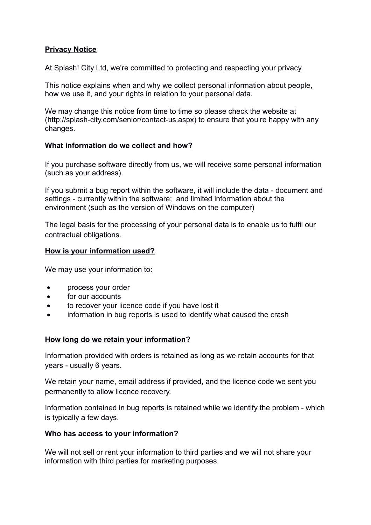## **Privacy Notice**

At Splash! City Ltd, we're committed to protecting and respecting your privacy.

This notice explains when and why we collect personal information about people, how we use it, and your rights in relation to your personal data.

We may change this notice from time to time so please check the website at (http://splash-city.com/senior/contact-us.aspx) to ensure that you're happy with any changes.

### **What information do we collect and how?**

If you purchase software directly from us, we will receive some personal information (such as your address).

If you submit a bug report within the software, it will include the data - document and settings - currently within the software; and limited information about the environment (such as the version of Windows on the computer)

The legal basis for the processing of your personal data is to enable us to fulfil our contractual obligations.

### **How is your information used?**

We may use your information to:

- process your order
- for our accounts
- to recover your licence code if you have lost it
- information in bug reports is used to identify what caused the crash

#### **How long do we retain your information?**

Information provided with orders is retained as long as we retain accounts for that years - usually 6 years.

We retain your name, email address if provided, and the licence code we sent you permanently to allow licence recovery.

Information contained in bug reports is retained while we identify the problem - which is typically a few days.

#### **Who has access to your information?**

We will not sell or rent your information to third parties and we will not share your information with third parties for marketing purposes.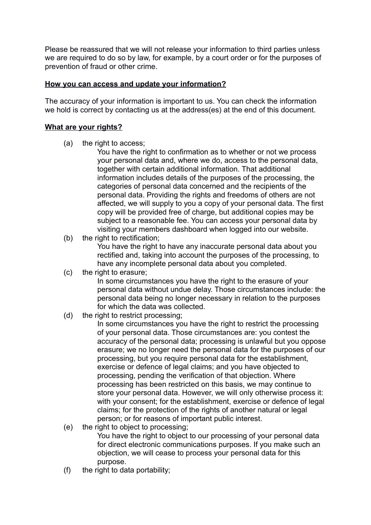Please be reassured that we will not release your information to third parties unless we are required to do so by law, for example, by a court order or for the purposes of prevention of fraud or other crime.

### **How you can access and update your information?**

The accuracy of your information is important to us. You can check the information we hold is correct by contacting us at the address(es) at the end of this document.

## **What are your rights?**

- (a) the right to access;
	- You have the right to confirmation as to whether or not we process your personal data and, where we do, access to the personal data, together with certain additional information. That additional information includes details of the purposes of the processing, the categories of personal data concerned and the recipients of the personal data. Providing the rights and freedoms of others are not affected, we will supply to you a copy of your personal data. The first copy will be provided free of charge, but additional copies may be subject to a reasonable fee. You can access your personal data by visiting your members dashboard when logged into our website.
- (b) the right to rectification:

You have the right to have any inaccurate personal data about you rectified and, taking into account the purposes of the processing, to have any incomplete personal data about you completed.

(c) the right to erasure;

In some circumstances you have the right to the erasure of your personal data without undue delay. Those circumstances include: the personal data being no longer necessary in relation to the purposes for which the data was collected.

(d) the right to restrict processing;

In some circumstances you have the right to restrict the processing of your personal data. Those circumstances are: you contest the accuracy of the personal data; processing is unlawful but you oppose erasure; we no longer need the personal data for the purposes of our processing, but you require personal data for the establishment, exercise or defence of legal claims; and you have objected to processing, pending the verification of that objection. Where processing has been restricted on this basis, we may continue to store your personal data. However, we will only otherwise process it: with your consent; for the establishment, exercise or defence of legal claims; for the protection of the rights of another natural or legal person; or for reasons of important public interest.

(e) the right to object to processing;

You have the right to object to our processing of your personal data for direct electronic communications purposes. If you make such an objection, we will cease to process your personal data for this purpose.

(f) the right to data portability;